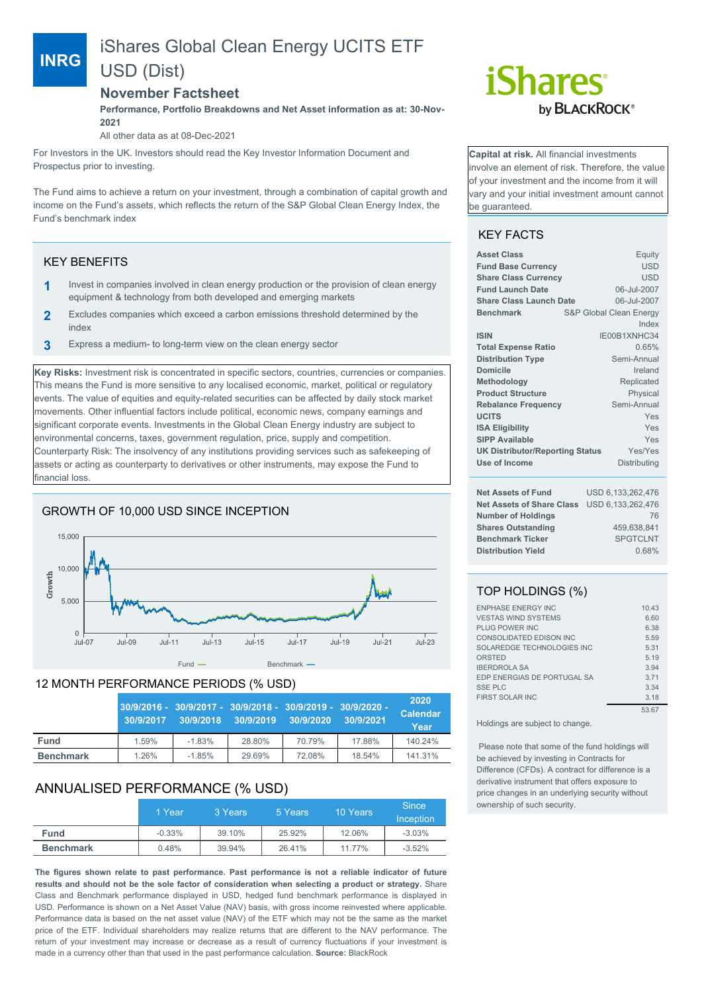# iShares Global Clean Energy UCITS ETF USD (Dist)

## **November Factsheet**

**Performance, Portfolio Breakdowns and Net Asset information as at: 30-Nov-2021**

All other data as at 08-Dec-2021

For Investors in the UK. Investors should read the Key Investor Information Document and Prospectus prior to investing.

The Fund aims to achieve a return on your investment, through a combination of capital growth and income on the Fund's assets, which reflects the return of the S&P Global Clean Energy Index, the Fund's benchmark index

## KEY BENEFITS

**INRG**

- **1** Invest in companies involved in clean energy production or the provision of clean energy equipment & technology from both developed and emerging markets
- **2** Excludes companies which exceed a carbon emissions threshold determined by the index
- **3** Express a medium- to long-term view on the clean energy sector

**Key Risks:** Investment risk is concentrated in specific sectors, countries, currencies or companies. This means the Fund is more sensitive to any localised economic, market, political or regulatory events. The value of equities and equity-related securities can be affected by daily stock market movements. Other influential factors include political, economic news, company earnings and significant corporate events. Investments in the Global Clean Energy industry are subject to environmental concerns, taxes, government regulation, price, supply and competition. Counterparty Risk: The insolvency of any institutions providing services such as safekeeping of assets or acting as counterparty to derivatives or other instruments, may expose the Fund to financial loss.

# GROWTH OF 10,000 USD SINCE INCEPTION



## 12 MONTH PERFORMANCE PERIODS (% USD)

|                  | 30/9/2017 | 30/9/2016 - 30/9/2017 - 30/9/2018 - 30/9/2019 - 30/9/2020 -<br>30/9/2018 | 30/9/2019 | 30/9/2020 | 30/9/2021 | 2020<br><b>Calendar</b><br>Year |
|------------------|-----------|--------------------------------------------------------------------------|-----------|-----------|-----------|---------------------------------|
| <b>Fund</b>      | 1.59%     | $-1.83%$                                                                 | 28.80%    | 70.79%    | 17.88%    | 140.24%                         |
| <b>Benchmark</b> | 1.26%     | $-1.85%$                                                                 | 29.69%    | 72.08%    | 18.54%    | 141.31%                         |

# ANNUALISED PERFORMANCE (% USD)

|                  | 1 Year   | 3 Years | 5 Years | 10 Years | <b>Since</b><br>Inception |
|------------------|----------|---------|---------|----------|---------------------------|
| <b>Fund</b>      | $-0.33%$ | 39.10%  | 25.92%  | 12.06%   | $-3.03%$                  |
| <b>Benchmark</b> | 0.48%    | 39.94%  | 26.41%  | 11.77%   | $-3.52%$                  |

**The figures shown relate to past performance. Past performance is not a reliable indicator of future results and should not be the sole factor of consideration when selecting a product or strategy.** Share Class and Benchmark performance displayed in USD, hedged fund benchmark performance is displayed in USD. Performance is shown on a Net Asset Value (NAV) basis, with gross income reinvested where applicable. Performance data is based on the net asset value (NAV) of the ETF which may not be the same as the market price of the ETF. Individual shareholders may realize returns that are different to the NAV performance. The return of your investment may increase or decrease as a result of currency fluctuations if your investment is made in a currency other than that used in the past performance calculation. **Source:** BlackRock



**Capital at risk.** All financial investments involve an element of risk. Therefore, the value of your investment and the income from it will vary and your initial investment amount cannot be guaranteed.

# KEY FACTS

| <b>USD</b><br><b>Fund Base Currency</b><br><b>USD</b><br><b>Share Class Currency</b><br>06-Jul-2007<br><b>Fund Launch Date</b><br>06-Jul-2007<br><b>Share Class Launch Date</b><br><b>S&amp;P Global Clean Energy</b><br><b>Benchmark</b><br>Index<br>IE00B1XNHC34<br><b>ISIN</b> | Equity |
|-----------------------------------------------------------------------------------------------------------------------------------------------------------------------------------------------------------------------------------------------------------------------------------|--------|
|                                                                                                                                                                                                                                                                                   |        |
|                                                                                                                                                                                                                                                                                   |        |
|                                                                                                                                                                                                                                                                                   |        |
|                                                                                                                                                                                                                                                                                   |        |
|                                                                                                                                                                                                                                                                                   |        |
|                                                                                                                                                                                                                                                                                   |        |
|                                                                                                                                                                                                                                                                                   |        |
| <b>Total Expense Ratio</b><br>0.65%                                                                                                                                                                                                                                               |        |
| Semi-Annual<br><b>Distribution Type</b>                                                                                                                                                                                                                                           |        |
| <b>Domicile</b><br>Ireland                                                                                                                                                                                                                                                        |        |
| Methodology<br>Replicated                                                                                                                                                                                                                                                         |        |
| <b>Product Structure</b><br>Physical                                                                                                                                                                                                                                              |        |
| Semi-Annual<br><b>Rebalance Frequency</b>                                                                                                                                                                                                                                         |        |
| <b>UCITS</b><br>Yes                                                                                                                                                                                                                                                               |        |
| <b>ISA Eligibility</b><br>Yes                                                                                                                                                                                                                                                     |        |
| <b>SIPP Available</b><br>Yes                                                                                                                                                                                                                                                      |        |
| <b>UK Distributor/Reporting Status</b><br>Yes/Yes                                                                                                                                                                                                                                 |        |
| Use of Income<br>Distributing                                                                                                                                                                                                                                                     |        |
| USD 6,133,262,476<br><b>Net Assets of Fund</b>                                                                                                                                                                                                                                    |        |

| Nel Assels Of Fully                         | <u>USD 0.133.202.470</u> |
|---------------------------------------------|--------------------------|
| Net Assets of Share Class USD 6,133,262,476 |                          |
| <b>Number of Holdings</b>                   | 76                       |
| <b>Shares Outstanding</b>                   | 459.638.841              |
| <b>Benchmark Ticker</b>                     | <b>SPGTCLNT</b>          |
| <b>Distribution Yield</b>                   | 0.68%                    |

# TOP HOLDINGS (%)

| <b>ENPHASE ENERGY INC</b>   | 10.43 |
|-----------------------------|-------|
| <b>VESTAS WIND SYSTEMS</b>  | 6.60  |
| PLUG POWER INC              | 6.38  |
| CONSOLIDATED EDISON INC     | 5.59  |
| SOLAREDGE TECHNOLOGIES INC  | 5.31  |
| ORSTED                      | 5.19  |
| <b>IBERDROLA SA</b>         | 3.94  |
| EDP ENERGIAS DE PORTUGAL SA | 3.71  |
| <b>SSE PLC</b>              | 3.34  |
| <b>FIRST SOLAR INC</b>      | 3.18  |
|                             | 53.67 |

Holdings are subject to change.

 Please note that some of the fund holdings will be achieved by investing in Contracts for Difference (CFDs). A contract for difference is a derivative instrument that offers exposure to price changes in an underlying security without ownership of such security.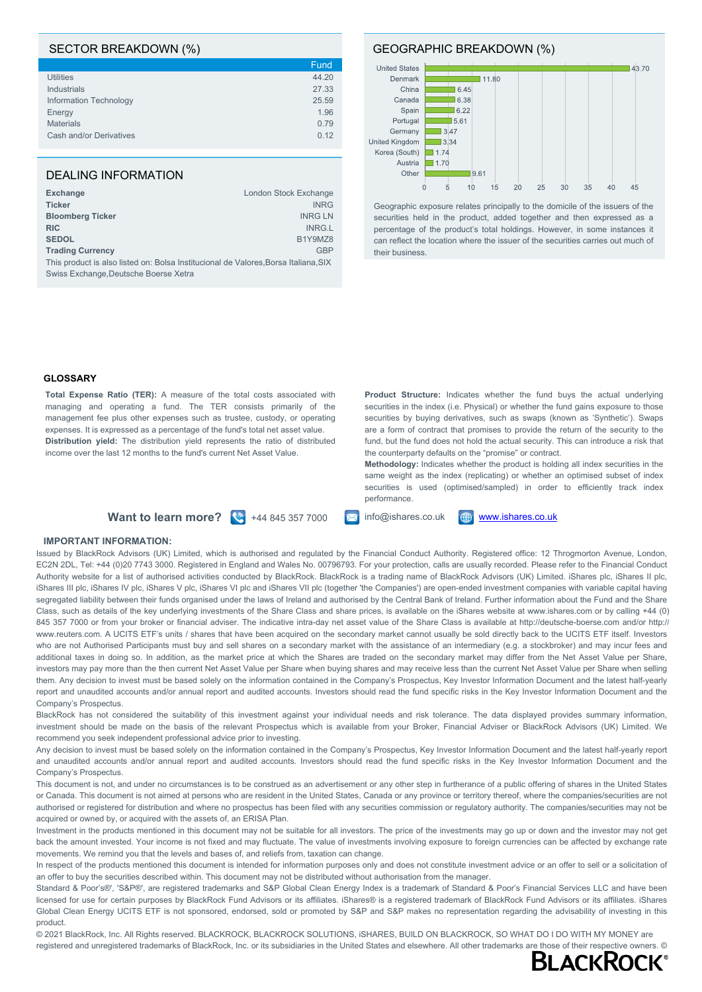### SECTOR BREAKDOWN (%)

|                         | Fund  |
|-------------------------|-------|
| <b>Utilities</b>        | 44.20 |
| Industrials             | 27.33 |
| Information Technology  | 25.59 |
| Energy                  | 1.96  |
| <b>Materials</b>        | 0.79  |
| Cash and/or Derivatives | 0.12  |
|                         |       |

## DEALING INFORMATION

| <b>Exchange</b>                                                                     | London Stock Exchange |
|-------------------------------------------------------------------------------------|-----------------------|
| <b>Ticker</b>                                                                       | <b>INRG</b>           |
| <b>Bloomberg Ticker</b>                                                             | <b>INRG LN</b>        |
| <b>RIC</b>                                                                          | INRG.L                |
| <b>SEDOL</b>                                                                        | B1Y9MZ8               |
| <b>Trading Currency</b>                                                             | <b>GBP</b>            |
| This product is also listed on: Bolsa Institucional de Valores, Borsa Italiana, SIX |                       |
| Swiss Exchange, Deutsche Boerse Xetra                                               |                       |

#### GEOGRAPHIC BREAKDOWN (%)



Geographic exposure relates principally to the domicile of the issuers of the securities held in the product, added together and then expressed as a percentage of the product's total holdings. However, in some instances it can reflect the location where the issuer of the securities carries out much of their business.

#### **GLOSSARY**

**Total Expense Ratio (TER):** A measure of the total costs associated with managing and operating a fund. The TER consists primarily of the management fee plus other expenses such as trustee, custody, or operating expenses. It is expressed as a percentage of the fund's total net asset value. **Distribution yield:** The distribution yield represents the ratio of distributed income over the last 12 months to the fund's current Net Asset Value.

**Product Structure:** Indicates whether the fund buys the actual underlying securities in the index (i.e. Physical) or whether the fund gains exposure to those securities by buying derivatives, such as swaps (known as 'Synthetic'). Swaps are a form of contract that promises to provide the return of the security to the fund, but the fund does not hold the actual security. This can introduce a risk that the counterparty defaults on the "promise" or contract.

**Methodology:** Indicates whether the product is holding all index securities in the same weight as the index (replicating) or whether an optimised subset of index securities is used (optimised/sampled) in order to efficiently track index performance.





#### **IMPORTANT INFORMATION:**

Issued by BlackRock Advisors (UK) Limited, which is authorised and regulated by the Financial Conduct Authority. Registered office: 12 Throgmorton Avenue, London, EC2N 2DL, Tel: +44 (0)20 7743 3000. Registered in England and Wales No. 00796793. For your protection, calls are usually recorded. Please refer to the Financial Conduct Authority website for a list of authorised activities conducted by BlackRock. BlackRock is a trading name of BlackRock Advisors (UK) Limited. iShares plc, iShares II plc, iShares III plc, iShares IV plc, iShares V plc, iShares VI plc and iShares VII plc (together 'the Companies') are open-ended investment companies with variable capital having segregated liability between their funds organised under the laws of Ireland and authorised by the Central Bank of Ireland. Further information about the Fund and the Share Class, such as details of the key underlying investments of the Share Class and share prices, is available on the iShares website at www.ishares.com or by calling +44 (0) 845 357 7000 or from your broker or financial adviser. The indicative intra-day net asset value of the Share Class is available at http://deutsche-boerse.com and/or http:// www.reuters.com. A UCITS ETF's units / shares that have been acquired on the secondary market cannot usually be sold directly back to the UCITS ETF itself. Investors who are not Authorised Participants must buy and sell shares on a secondary market with the assistance of an intermediary (e.g. a stockbroker) and may incur fees and additional taxes in doing so. In addition, as the market price at which the Shares are traded on the secondary market may differ from the Net Asset Value per Share, investors may pay more than the then current Net Asset Value per Share when buying shares and may receive less than the current Net Asset Value per Share when selling them. Any decision to invest must be based solely on the information contained in the Company's Prospectus, Key Investor Information Document and the latest half-yearly report and unaudited accounts and/or annual report and audited accounts. Investors should read the fund specific risks in the Key Investor Information Document and the Company's Prospectus.

BlackRock has not considered the suitability of this investment against your individual needs and risk tolerance. The data displayed provides summary information, investment should be made on the basis of the relevant Prospectus which is available from your Broker, Financial Adviser or BlackRock Advisors (UK) Limited. We recommend you seek independent professional advice prior to investing.

Any decision to invest must be based solely on the information contained in the Company's Prospectus, Key Investor Information Document and the latest half-yearly report and unaudited accounts and/or annual report and audited accounts. Investors should read the fund specific risks in the Key Investor Information Document and the Company's Prospectus.

This document is not, and under no circumstances is to be construed as an advertisement or any other step in furtherance of a public offering of shares in the United States or Canada. This document is not aimed at persons who are resident in the United States, Canada or any province or territory thereof, where the companies/securities are not authorised or registered for distribution and where no prospectus has been filed with any securities commission or regulatory authority. The companies/securities may not be acquired or owned by, or acquired with the assets of, an ERISA Plan.

Investment in the products mentioned in this document may not be suitable for all investors. The price of the investments may go up or down and the investor may not get back the amount invested. Your income is not fixed and may fluctuate. The value of investments involving exposure to foreign currencies can be affected by exchange rate movements. We remind you that the levels and bases of, and reliefs from, taxation can change.

In respect of the products mentioned this document is intended for information purposes only and does not constitute investment advice or an offer to sell or a solicitation of an offer to buy the securities described within. This document may not be distributed without authorisation from the manager.

Standard & Poor's®', 'S&P®', are registered trademarks and S&P Global Clean Energy Index is a trademark of Standard & Poor's Financial Services LLC and have been licensed for use for certain purposes by BlackRock Fund Advisors or its affiliates. iShares® is a registered trademark of BlackRock Fund Advisors or its affiliates. iShares Global Clean Energy UCITS ETF is not sponsored, endorsed, sold or promoted by S&P and S&P makes no representation regarding the advisability of investing in this product.

© 2021 BlackRock, Inc. All Rights reserved. BLACKROCK, BLACKROCK SOLUTIONS, iSHARES, BUILD ON BLACKROCK, SO WHAT DO I DO WITH MY MONEY are registered and unregistered trademarks of BlackRock, Inc. or its subsidiaries in the United States and elsewhere. All other trademarks are those of their respective owners. ©<br>RIACKROCK®